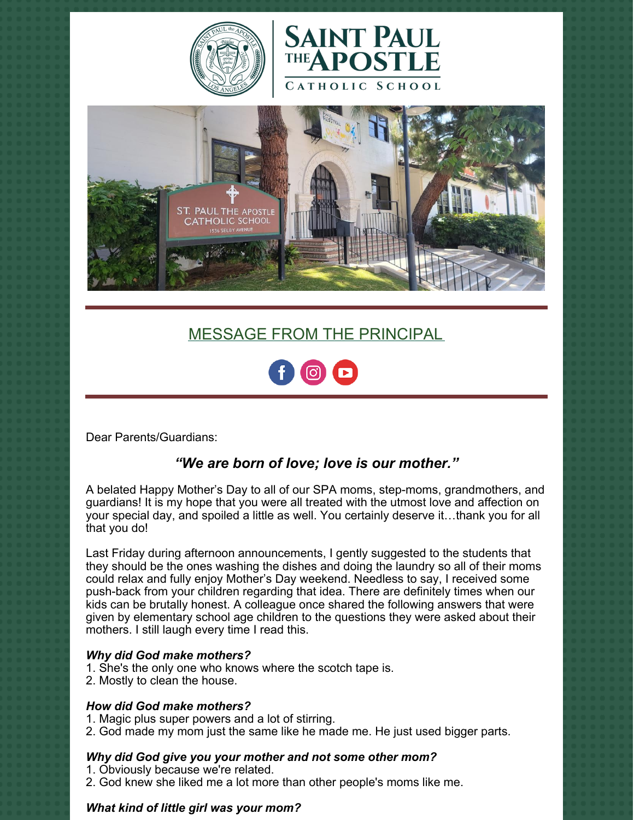





# MESSAGE FROM THE PRINCIPAL



Dear Parents/Guardians:

# *"We are born of love; love is our mother."*

A belated Happy Mother's Day to all of our SPA moms, step-moms, grandmothers, and guardians! It is my hope that you were all treated with the utmost love and affection on your special day, and spoiled a little as well. You certainly deserve it…thank you for all that you do!

Last Friday during afternoon announcements, I gently suggested to the students that they should be the ones washing the dishes and doing the laundry so all of their moms could relax and fully enjoy Mother's Day weekend. Needless to say, I received some push-back from your children regarding that idea. There are definitely times when our kids can be brutally honest. A colleague once shared the following answers that were given by elementary school age children to the questions they were asked about their mothers. I still laugh every time I read this.

### *Why did God make mothers?*

- 1. She's the only one who knows where the scotch tape is.
- 2. Mostly to clean the house.

### *How did God make mothers?*

- 1. Magic plus super powers and a lot of stirring.
- 2. God made my mom just the same like he made me. He just used bigger parts.

### *Why did God give you your mother and not some other mom?*

- 1. Obviously because we're related.
- 2. God knew she liked me a lot more than other people's moms like me.

### *What kind of little girl was your mom?*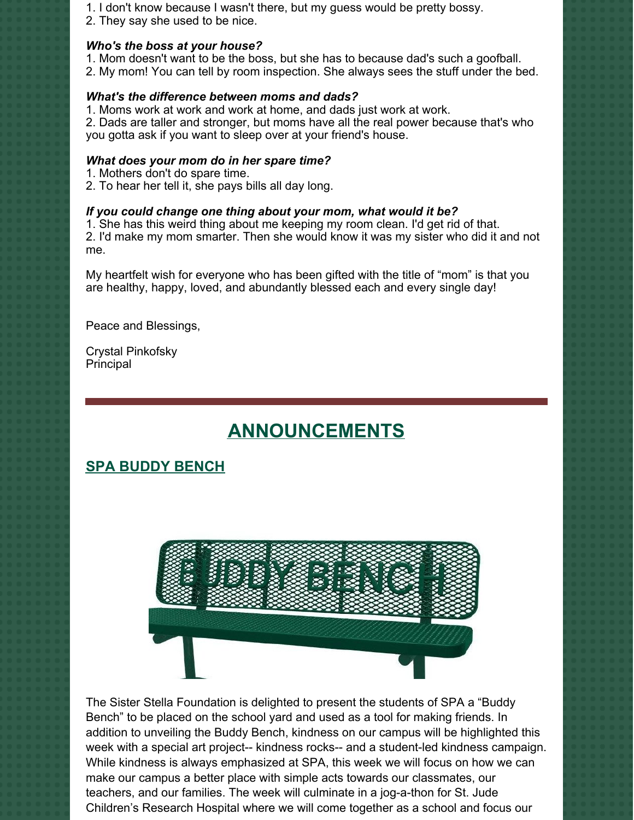- 1. I don't know because I wasn't there, but my guess would be pretty bossy.
- 2. They say she used to be nice.

# *Who's the boss at your house?*

- 1. Mom doesn't want to be the boss, but she has to because dad's such a goofball.
- 2. My mom! You can tell by room inspection. She always sees the stuff under the bed.

## *What's the difference between moms and dads?*

1. Moms work at work and work at home, and dads just work at work.

2. Dads are taller and stronger, but moms have all the real power because that's who you gotta ask if you want to sleep over at your friend's house.

## *What does your mom do in her spare time?*

- 1. Mothers don't do spare time.
- 2. To hear her tell it, she pays bills all day long.

## *If you could change one thing about your mom, what would it be?*

1. She has this weird thing about me keeping my room clean. I'd get rid of that. 2. I'd make my mom smarter. Then she would know it was my sister who did it and not me.

My heartfelt wish for everyone who has been gifted with the title of "mom" is that you are healthy, happy, loved, and abundantly blessed each and every single day!

Peace and Blessings,

Crystal Pinkofsky Principal

# **ANNOUNCEMENTS**

# **SPA BUDDY BENCH**



The Sister Stella Foundation is delighted to present the students of SPA a "Buddy Bench" to be placed on the school yard and used as a tool for making friends. In addition to unveiling the Buddy Bench, kindness on our campus will be highlighted this week with a special art project-- kindness rocks-- and a student-led kindness campaign. While kindness is always emphasized at SPA, this week we will focus on how we can make our campus a better place with simple acts towards our classmates, our teachers, and our families. The week will culminate in a jog-a-thon for St. Jude Children's Research Hospital where we will come together as a school and focus our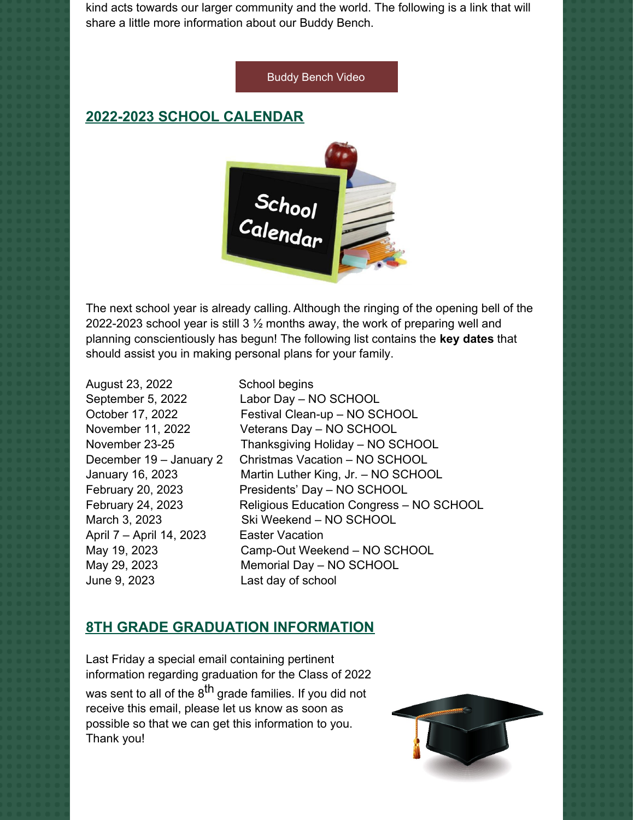kind acts towards our larger community and the world. The following is a link that will share a little more information about our Buddy Bench.

#### Buddy [Bench](https://www.youtube.com/watch?v=7ngi_s-sZ7Y) Video

# **2022-2023 SCHOOL CALENDAR**



The next school year is already calling. Although the ringing of the opening bell of the 2022-2023 school year is still 3 ½ months away, the work of preparing well and planning conscientiously has begun! The following list contains the **key dates** that should assist you in making personal plans for your family.

August 23, 2022 School begins April 7 – April 14, 2023 Easter Vacation June 9, 2023 Last day of school

September 5, 2022 Labor Day – NO SCHOOL October 17, 2022 Festival Clean-up – NO SCHOOL November 11, 2022 Veterans Day – NO SCHOOL November 23-25 Thanksgiving Holiday – NO SCHOOL December 19 – January 2 Christmas Vacation – NO SCHOOL January 16, 2023 Martin Luther King, Jr. – NO SCHOOL February 20, 2023 Presidents' Day – NO SCHOOL February 24, 2023 Religious Education Congress – NO SCHOOL March 3, 2023 Ski Weekend – NO SCHOOL May 19, 2023 Camp-Out Weekend – NO SCHOOL May 29, 2023 Memorial Day – NO SCHOOL

# **8TH GRADE GRADUATION INFORMATION**

Last Friday a special email containing pertinent information regarding graduation for the Class of 2022 was sent to all of the 8<sup>th</sup> grade families. If you did not receive this email, please let us know as soon as possible so that we can get this information to you. Thank you!

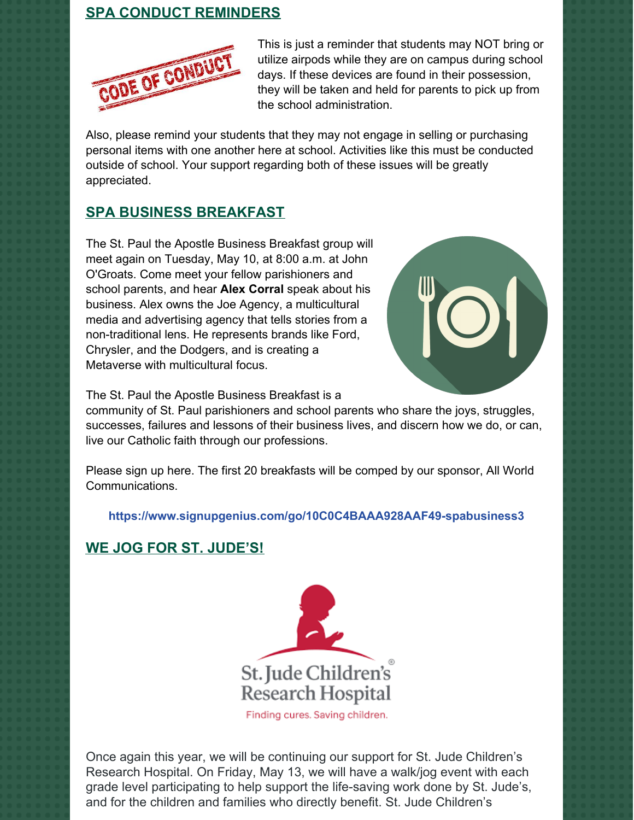# **SPA CONDUCT REMINDERS**



This is just a reminder that students may NOT bring or utilize airpods while they are on campus during school days. If these devices are found in their possession, they will be taken and held for parents to pick up from the school administration.

Also, please remind your students that they may not engage in selling or purchasing personal items with one another here at school. Activities like this must be conducted outside of school. Your support regarding both of these issues will be greatly appreciated.

# **SPA BUSINESS BREAKFAST**

The St. Paul the Apostle Business Breakfast group will meet again on Tuesday, May 10, at 8:00 a.m. at John O'Groats. Come meet your fellow parishioners and school parents, and hear **Alex Corral** speak about his business. Alex owns the Joe Agency, a multicultural media and advertising agency that tells stories from a non-traditional lens. He represents brands like Ford, Chrysler, and the Dodgers, and is creating a Metaverse with multicultural focus.



The St. Paul the Apostle Business Breakfast is a

community of St. Paul parishioners and school parents who share the joys, struggles, successes, failures and lessons of their business lives, and discern how we do, or can, live our Catholic faith through our professions.

Please sign up here. The first 20 breakfasts will be comped by our sponsor, All World Communications.

**<https://www.signupgenius.com/go/10C0C4BAAA928AAF49-spabusiness3>**

# **WE JOG FOR ST. JUDE'S!**



Once again this year, we will be continuing our support for St. Jude Children's Research Hospital. On Friday, May 13, we will have a walk/jog event with each grade level participating to help support the life-saving work done by St. Jude's, and for the children and families who directly benefit. St. Jude Children's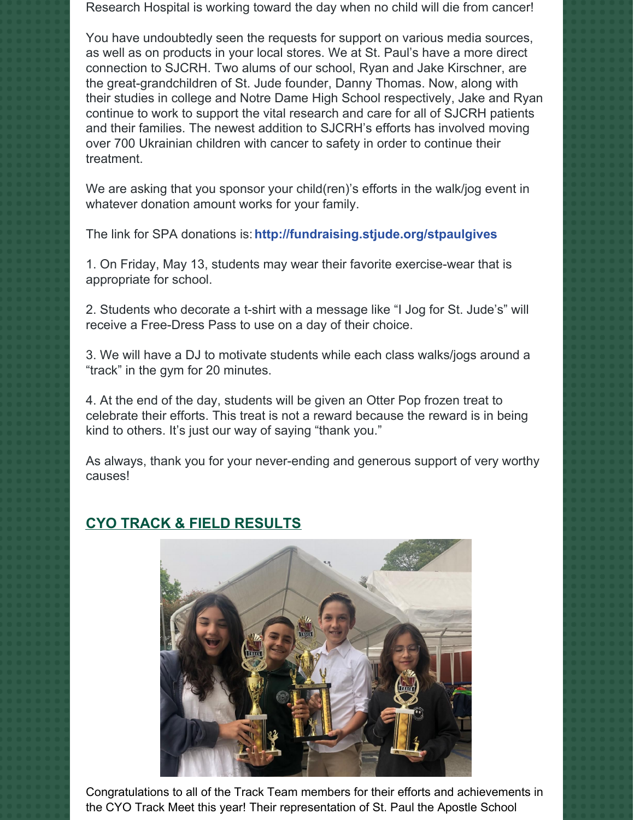Research Hospital is working toward the day when no child will die from cancer!

You have undoubtedly seen the requests for support on various media sources, as well as on products in your local stores. We at St. Paul's have a more direct connection to SJCRH. Two alums of our school, Ryan and Jake Kirschner, are the great-grandchildren of St. Jude founder, Danny Thomas. Now, along with their studies in college and Notre Dame High School respectively, Jake and Ryan continue to work to support the vital research and care for all of SJCRH patients and their families. The newest addition to SJCRH's efforts has involved moving over 700 Ukrainian children with cancer to safety in order to continue their treatment.

We are asking that you sponsor your child(ren)'s efforts in the walk/jog event in whatever donation amount works for your family.

The link for SPA donations is:**http://fundraising.stjude.org/stpaulgives**

1. On Friday, May 13, students may wear their favorite exercise-wear that is appropriate for school.

2. Students who decorate a t-shirt with a message like "I Jog for St. Jude's" will receive a Free-Dress Pass to use on a day of their choice.

3. We will have a DJ to motivate students while each class walks/jogs around a "track" in the gym for 20 minutes.

4. At the end of the day, students will be given an Otter Pop frozen treat to celebrate their efforts. This treat is not a reward because the reward is in being kind to others. It's just our way of saying "thank you."

As always, thank you for your never-ending and generous support of very worthy causes!

# **CYO TRACK & FIELD RESULTS**



Congratulations to all of the Track Team members for their efforts and achievements in the CYO Track Meet this year! Their representation of St. Paul the Apostle School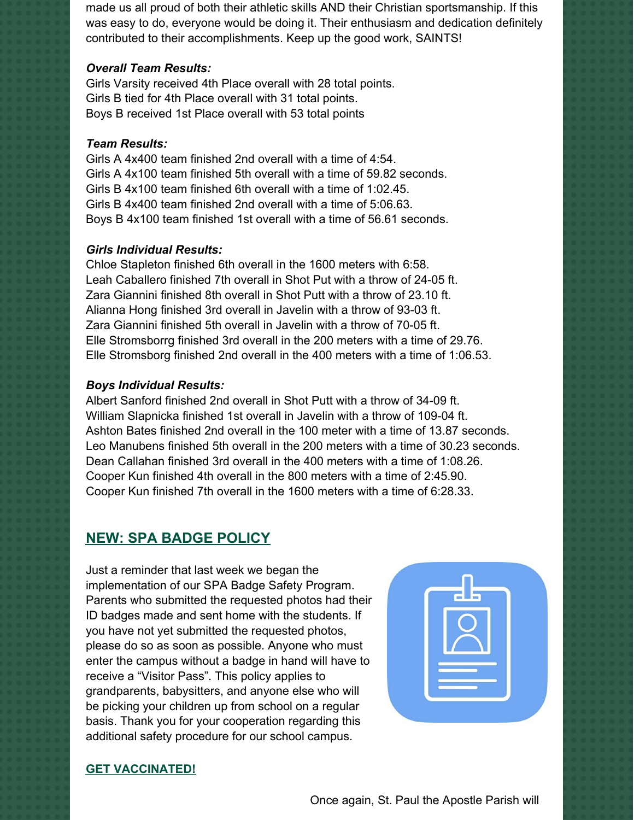made us all proud of both their athletic skills AND their Christian sportsmanship. If this was easy to do, everyone would be doing it. Their enthusiasm and dedication definitely contributed to their accomplishments. Keep up the good work, SAINTS!

#### *Overall Team Results:*

Girls Varsity received 4th Place overall with 28 total points. Girls B tied for 4th Place overall with 31 total points. Boys B received 1st Place overall with 53 total points

### *Team Results:*

Girls A 4x400 team finished 2nd overall with a time of 4:54. Girls A 4x100 team finished 5th overall with a time of 59.82 seconds. Girls B 4x100 team finished 6th overall with a time of 1:02.45. Girls B 4x400 team finished 2nd overall with a time of 5:06.63. Boys B 4x100 team finished 1st overall with a time of 56.61 seconds.

#### *Girls Individual Results:*

Chloe Stapleton finished 6th overall in the 1600 meters with 6:58. Leah Caballero finished 7th overall in Shot Put with a throw of 24-05 ft. Zara Giannini finished 8th overall in Shot Putt with a throw of 23.10 ft. Alianna Hong finished 3rd overall in Javelin with a throw of 93-03 ft. Zara Giannini finished 5th overall in Javelin with a throw of 70-05 ft. Elle Stromsborrg finished 3rd overall in the 200 meters with a time of 29.76. Elle Stromsborg finished 2nd overall in the 400 meters with a time of 1:06.53.

#### *Boys Individual Results:*

Albert Sanford finished 2nd overall in Shot Putt with a throw of 34-09 ft. William Slapnicka finished 1st overall in Javelin with a throw of 109-04 ft. Ashton Bates finished 2nd overall in the 100 meter with a time of 13.87 seconds. Leo Manubens finished 5th overall in the 200 meters with a time of 30.23 seconds. Dean Callahan finished 3rd overall in the 400 meters with a time of 1:08.26. Cooper Kun finished 4th overall in the 800 meters with a time of 2:45.90. Cooper Kun finished 7th overall in the 1600 meters with a time of 6:28.33.

# **NEW: SPA BADGE POLICY**

Just a reminder that last week we began the implementation of our SPA Badge Safety Program. Parents who submitted the requested photos had their ID badges made and sent home with the students. If you have not yet submitted the requested photos, please do so as soon as possible. Anyone who must enter the campus without a badge in hand will have to receive a "Visitor Pass". This policy applies to grandparents, babysitters, and anyone else who will be picking your children up from school on a regular basis. Thank you for your cooperation regarding this additional safety procedure for our school campus.



### **GET VACCINATED!**